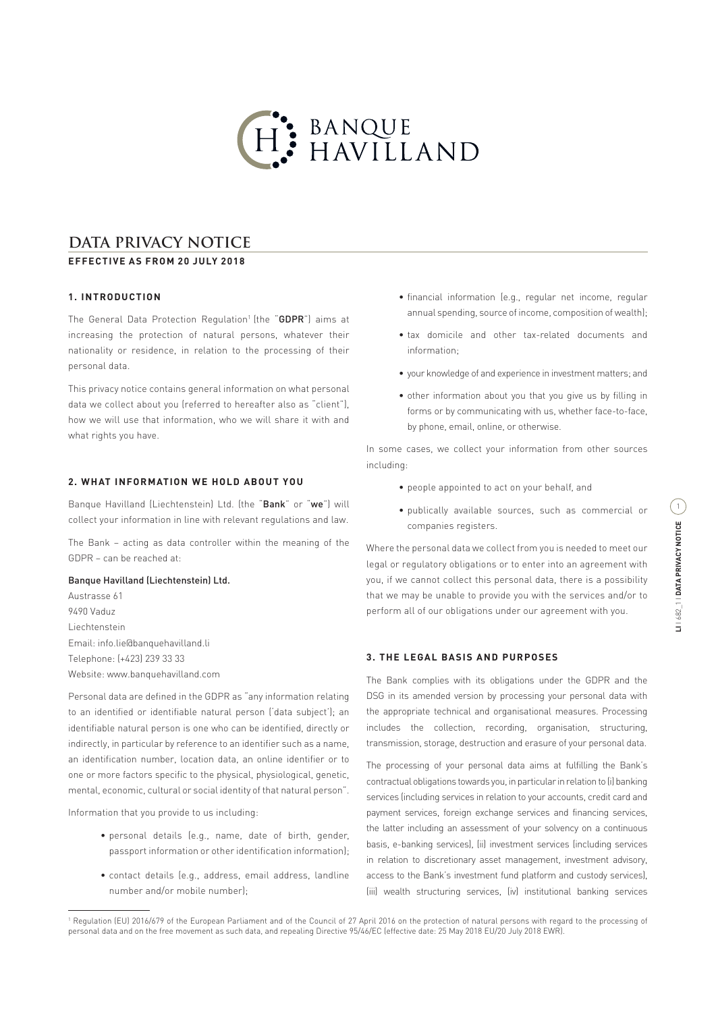

# **DATA PRIVACY NOTICE**

# **EFFECTIVE AS FROM 20 JULY 2018**

# **1. INTRODUCTION**

The General Data Protection Regulation<sup>1</sup> (the "GDPR") aims at increasing the protection of natural persons, whatever their nationality or residence, in relation to the processing of their personal data.

This privacy notice contains general information on what personal data we collect about you (referred to hereafter also as "client"), how we will use that information, who we will share it with and what rights you have.

# **2. WHAT INFORMATION WE HOLD ABOUT YOU**

Banque Havilland (Liechtenstein) Ltd. (the "Bank" or "we") will collect your information in line with relevant regulations and law.

The Bank – acting as data controller within the meaning of the GDPR – can be reached at:

#### Banque Havilland (Liechtenstein) Ltd.

Austrasse 61 9490 Vaduz Liechtenstein Email: info.lie@banquehavilland.li Telephone: (+423) 239 33 33 Website: www.banquehavilland.com

Personal data are defined in the GDPR as "any information relating to an identified or identifiable natural person ('data subject'); an identifiable natural person is one who can be identified, directly or indirectly, in particular by reference to an identifier such as a name, an identification number, location data, an online identifier or to one or more factors specific to the physical, physiological, genetic, mental, economic, cultural or social identity of that natural person".

Information that you provide to us including:

- personal details (e.g., name, date of birth, gender, passport information or other identification information);
- contact details (e.g., address, email address, landline number and/or mobile number);
- financial information (e.g., regular net income, regular annual spending, source of income, composition of wealth);
- tax domicile and other tax-related documents and information;
- your knowledge of and experience in investment matters; and
- other information about you that you give us by filling in forms or by communicating with us, whether face-to-face, by phone, email, online, or otherwise.

In some cases, we collect your information from other sources including:

- people appointed to act on your behalf, and
- publically available sources, such as commercial or companies registers.

Where the personal data we collect from you is needed to meet our legal or regulatory obligations or to enter into an agreement with you, if we cannot collect this personal data, there is a possibility that we may be unable to provide you with the services and/or to perform all of our obligations under our agreement with you.

#### **3. THE LEGAL BASIS AND PURPOSES**

The Bank complies with its obligations under the GDPR and the DSG in its amended version by processing your personal data with the appropriate technical and organisational measures. Processing includes the collection, recording, organisation, structuring, transmission, storage, destruction and erasure of your personal data.

The processing of your personal data aims at fulfilling the Bank's contractual obligations towards you, in particular in relation to (i) banking services (including services in relation to your accounts, credit card and payment services, foreign exchange services and financing services, the latter including an assessment of your solvency on a continuous basis, e-banking services), (ii) investment services (including services in relation to discretionary asset management, investment advisory, access to the Bank's investment fund platform and custody services), (iii) wealth structuring services, (iv) institutional banking services

<sup>1</sup> Regulation (EU) 2016/679 of the European Parliament and of the Council of 27 April 2016 on the protection of natural persons with regard to the processing of personal data and on the free movement as such data, and repealing Directive 95/46/EC (effective date: 25 May 2018 EU/20 July 2018 EWR).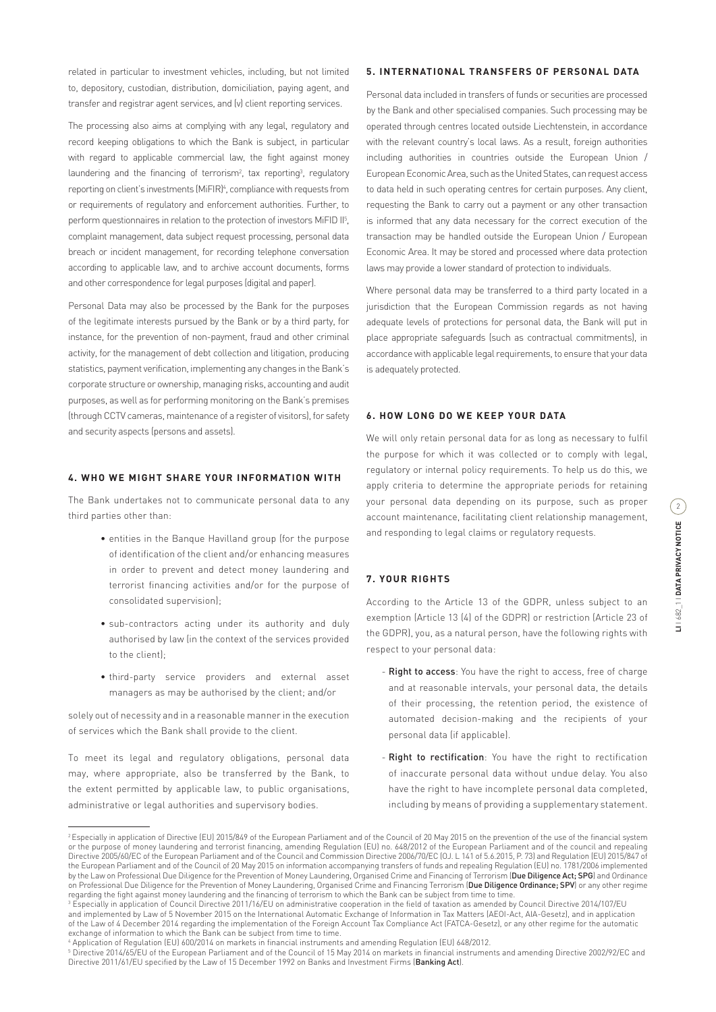related in particular to investment vehicles, including, but not limited to, depository, custodian, distribution, domiciliation, paying agent, and transfer and registrar agent services, and (v) client reporting services.

The processing also aims at complying with any legal, regulatory and record keeping obligations to which the Bank is subject, in particular with regard to applicable commercial law, the fight against money laundering and the financing of terrorism<sup>2</sup>, tax reporting<sup>3</sup>, regulatory reporting on client's investments (MiFIR)<sup>4</sup>, compliance with requests from or requirements of regulatory and enforcement authorities. Further, to perform questionnaires in relation to the protection of investors MiFID II<sup>5</sup>, complaint management, data subject request processing, personal data breach or incident management, for recording telephone conversation according to applicable law, and to archive account documents, forms and other correspondence for legal purposes (digital and paper).

Personal Data may also be processed by the Bank for the purposes of the legitimate interests pursued by the Bank or by a third party, for instance, for the prevention of non-payment, fraud and other criminal activity, for the management of debt collection and litigation, producing statistics, payment verification, implementing any changes in the Bank's corporate structure or ownership, managing risks, accounting and audit purposes, as well as for performing monitoring on the Bank's premises (through CCTV cameras, maintenance of a register of visitors), for safety and security aspects (persons and assets).

#### **4. WHO WE MIGHT SHARE YOUR INFORMATION WITH**

The Bank undertakes not to communicate personal data to any third parties other than:

- entities in the Banque Havilland group (for the purpose of identification of the client and/or enhancing measures in order to prevent and detect money laundering and terrorist financing activities and/or for the purpose of consolidated supervision);
- sub-contractors acting under its authority and duly authorised by law (in the context of the services provided to the client);
- third-party service providers and external asset managers as may be authorised by the client; and/or

solely out of necessity and in a reasonable manner in the execution of services which the Bank shall provide to the client.

To meet its legal and regulatory obligations, personal data may, where appropriate, also be transferred by the Bank, to the extent permitted by applicable law, to public organisations, administrative or legal authorities and supervisory bodies.

# **5. INTERNATIONAL TRANSFERS OF PERSONAL DATA**

Personal data included in transfers of funds or securities are processed by the Bank and other specialised companies. Such processing may be operated through centres located outside Liechtenstein, in accordance with the relevant country's local laws. As a result, foreign authorities including authorities in countries outside the European Union / European Economic Area, such as the United States, can request access to data held in such operating centres for certain purposes. Any client, requesting the Bank to carry out a payment or any other transaction is informed that any data necessary for the correct execution of the transaction may be handled outside the European Union / European Economic Area. It may be stored and processed where data protection laws may provide a lower standard of protection to individuals.

Where personal data may be transferred to a third party located in a jurisdiction that the European Commission regards as not having adequate levels of protections for personal data, the Bank will put in place appropriate safeguards (such as contractual commitments), in accordance with applicable legal requirements, to ensure that your data is adequately protected.

# **6. HOW LONG DO WE KEEP YOUR DATA**

We will only retain personal data for as long as necessary to fulfil the purpose for which it was collected or to comply with legal, regulatory or internal policy requirements. To help us do this, we apply criteria to determine the appropriate periods for retaining your personal data depending on its purpose, such as proper account maintenance, facilitating client relationship management, and responding to legal claims or regulatory requests.

# **7. YOUR RIGHTS**

According to the Article 13 of the GDPR, unless subject to an exemption (Article 13 (4) of the GDPR) or restriction (Article 23 of the GDPR), you, as a natural person, have the following rights with respect to your personal data:

- Right to access: You have the right to access, free of charge and at reasonable intervals, your personal data, the details of their processing, the retention period, the existence of automated decision-making and the recipients of your personal data (if applicable).
- Right to rectification: You have the right to rectification of inaccurate personal data without undue delay. You also have the right to have incomplete personal data completed, including by means of providing a supplementary statement.

<sup>&</sup>lt;sup>2</sup> Especially in application of Directive (EU) 2015/849 of the European Parliament and of the Council of 20 May 2015 on the prevention of the use of the financial system or the purpose of money laundering and terrorist financing, amending Regulation (EU) no. 648/2012 of the European Parliament and of the council and repealing Directive 2005/60/EC of the European Parliament and of the Council and Commission Directive 2006/70/EC (OJ. L 141 of 5.6.2015, P. 73) and Regulation (EU) 2015/847 of the European Parliament and of the Council of 20 May 2015 on information accompanying transfers of funds and repealing Regulation (EU) no. 1781/2006 implemented by the Law on Professional Due Diligence for the Prevention of Money Laundering, Organised Crime and Financing of Terrorism (Due Diligence Act; SPG) and Ordinance on Professional Due Diligence for the Prevention of Money Laundering, Organised Crime and Financing Terrorism (**Due Diligence Ordinance; SPV**) or any other regime regarding the fight against money laundering and the financing of terrorism to which the Bank can be subject from time to time.

 $^{\rm 3}$  Especially in application of Council Directive 2011/16/EU on administrative cooperation in the field of taxation as amended by Council Directive 2014/107/EU  $\,$ and implemented by Law of 5 November 2015 on the International Automatic Exchange of Information in Tax Matters (AEOI-Act, AIA-Gesetz), and in application of the Law of 4 December 2014 regarding the implementation of the Foreign Account Tax Compliance Act (FATCA-Gesetz), or any other regime for the automatic exchange of information to which the Bank can be subject from time to time.

<sup>4</sup> Application of Regulation (EU) 600/2014 on markets in financial instruments and amending Regulation (EU) 648/2012.<br><sup>5</sup> Directive 2014/65/EU of the European Parliament and of the Council of 15 May 2014 on markets in finan